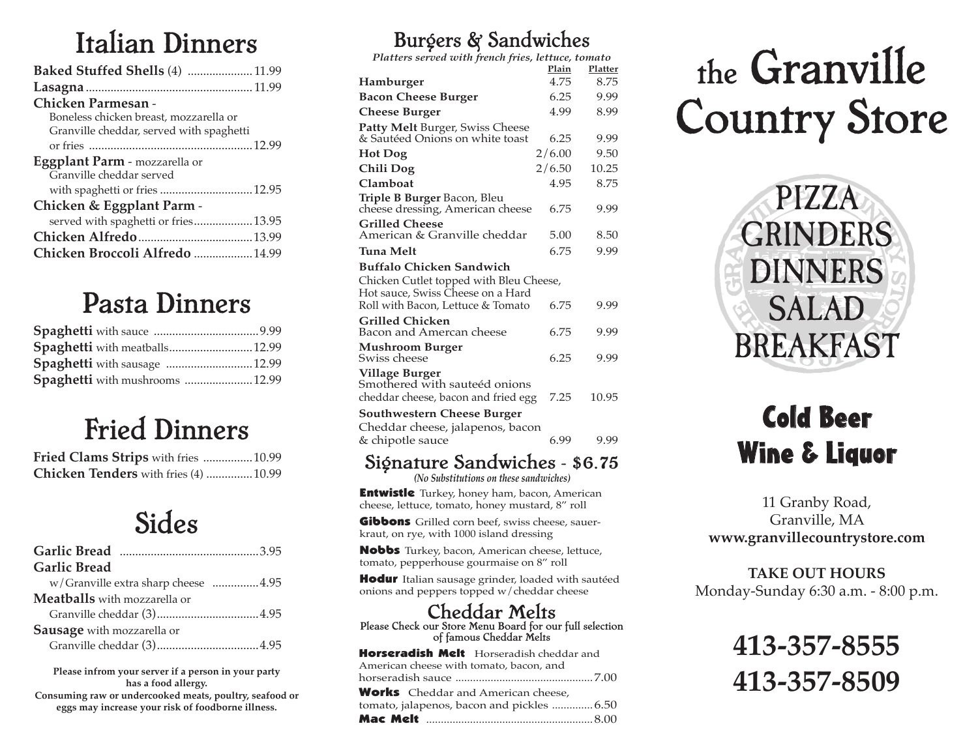## Italian Dinners

| Baked Stuffed Shells (4)  11.99          |  |
|------------------------------------------|--|
|                                          |  |
| Chicken Parmesan -                       |  |
| Boneless chicken breast, mozzarella or   |  |
| Granville cheddar, served with spaghetti |  |
|                                          |  |
| Eggplant Parm - mozzarella or            |  |
| Granville cheddar served                 |  |
| with spaghetti or fries  12.95           |  |
| Chicken & Eggplant Parm -                |  |
| served with spaghetti or fries 13.95     |  |
|                                          |  |
| Chicken Broccoli Alfredo  14.99          |  |

### Pasta Dinners

| Spaghetti with meatballs 12.99  |  |
|---------------------------------|--|
| Spaghetti with sausage  12.99   |  |
| Spaghetti with mushrooms  12.99 |  |

# Fried Dinners

| Fried Clams Strips with fries  10.99  |  |
|---------------------------------------|--|
| Chicken Tenders with fries (4)  10.99 |  |

### Sides

| <b>Garlic Bread</b>                 |
|-------------------------------------|
| w/Granville extra sharp cheese 4.95 |
| <b>Meatballs</b> with mozzarella or |
|                                     |
| <b>Sausage</b> with mozzarella or   |
|                                     |

**Consuming raw or undercooked meats, poultry, seafood or eggs may increase your risk of foodborne illness. Please infrom your server if a person in your party has a food allergy.**

### Burgers & Sandwiches

*Platters served with french fries, lettuce, tomato*

| Platters served with french fries, lettuce, tomato                     |        |         |
|------------------------------------------------------------------------|--------|---------|
|                                                                        | Plain  | Platter |
| Hamburger                                                              | 4.75   | 8.75    |
| <b>Bacon Cheese Burger</b>                                             | 6.25   | 9.99    |
| <b>Cheese Burger</b>                                                   | 4.99   | 8.99    |
| Patty Melt Burger, Swiss Cheese                                        |        |         |
| & Sautéed Onions on white toast                                        | 6.25   | 9.99    |
| Hot Dog                                                                | 2/6.00 | 9.50    |
| Chili Dog                                                              | 2/6.50 | 10.25   |
| Clamboat                                                               | 4.95   | 8.75    |
| Triple B Burger Bacon, Bleu<br>cheese dressing, American cheese        | 6.75   | 9.99    |
| <b>Grilled Cheese</b><br>American & Granville cheddar                  | 5.00   | 8.50    |
| Tuna Melt                                                              | 6.75   | 9.99    |
| Buffalo Chicken Sandwich                                               |        |         |
| Chicken Cutlet topped with Bleu Cheese,                                |        |         |
| Hot sauce, Swiss Cheese on a Hard<br>Roll with Bacon, Lettuce & Tomato | 6.75   | 9.99    |
| <b>Grilled Chicken</b><br>Bacon and Amercan cheese                     | 6.75   | 9.99    |
| <b>Mushroom Burger</b>                                                 |        |         |
| Swiss cheese                                                           | 6.25   | 9.99    |
| <b>Village Burger</b><br>Smothered with sauteéd onions                 |        |         |
| cheddar cheese, bacon and fried egg                                    | 7.25   | 10.95   |
| Southwestern Cheese Burger<br>Cheddar cheese, jalapenos, bacon         |        |         |
| & chipotle sauce                                                       | 6.99   | 9.99    |
| <b>1.1</b><br>$\sim$ $\sim$                                            |        |         |

### Signature Sandwiches - \$6.75

*(No Substitutions on these sandwiches)*

**Entwistle** Turkey, honey ham, bacon, American cheese, lettuce, tomato, honey mustard, 8" roll

Gibbons Grilled corn beef, swiss cheese, sauerkraut, on rye, with 1000 island dressing

Nobbs Turkey, bacon, American cheese, lettuce, tomato, pepperhouse gourmaise on 8" roll

Hodur Italian sausage grinder, loaded with sautéed onions and peppers topped w/cheddar cheese

### Cheddar Melts

Please Check our Store Menu Board for our full selection of famous Cheddar Melts

| Horseradish Melt Horseradish cheddar and  |
|-------------------------------------------|
| American cheese with tomato, bacon, and   |
|                                           |
| <b>Works</b> Cheddar and American cheese, |
| tomato, jalapenos, bacon and pickles 6.50 |
|                                           |

# the Granville Country Store



# Cold Beer Wine & Liquor

#### 11 Granby Road, Granville, MA **www.granvillecountrystore.com**

**TAKE OUT HOURS** Monday-Sunday 6:30 a.m. - 8:00 p.m.

# **413-357-8555 413-357-8509**